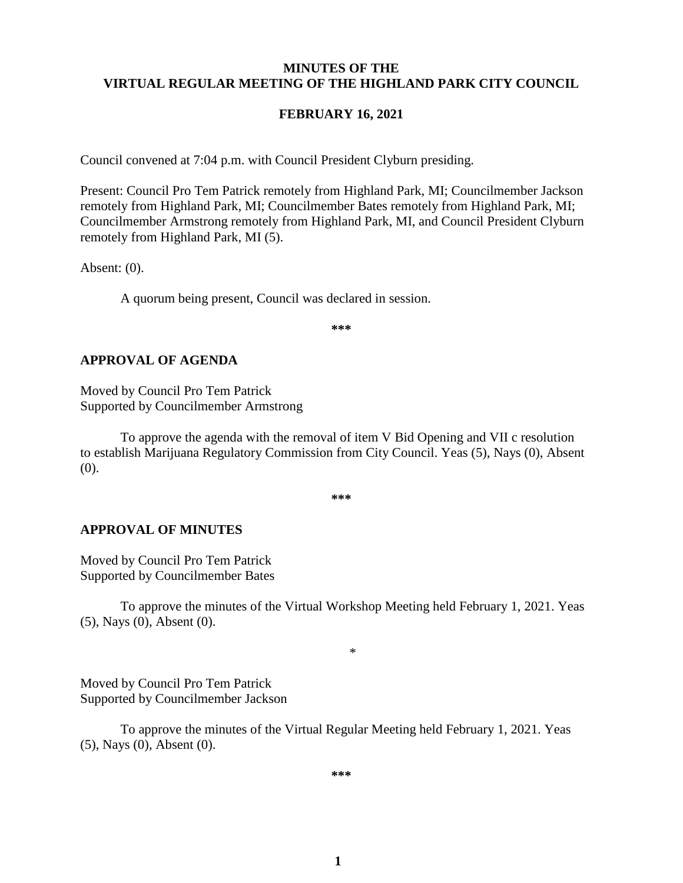#### **MINUTES OF THE VIRTUAL REGULAR MEETING OF THE HIGHLAND PARK CITY COUNCIL**

#### **FEBRUARY 16, 2021**

Council convened at 7:04 p.m. with Council President Clyburn presiding.

Present: Council Pro Tem Patrick remotely from Highland Park, MI; Councilmember Jackson remotely from Highland Park, MI; Councilmember Bates remotely from Highland Park, MI; Councilmember Armstrong remotely from Highland Park, MI, and Council President Clyburn remotely from Highland Park, MI (5).

Absent: (0).

A quorum being present, Council was declared in session.

**\*\*\***

#### **APPROVAL OF AGENDA**

Moved by Council Pro Tem Patrick Supported by Councilmember Armstrong

To approve the agenda with the removal of item V Bid Opening and VII c resolution to establish Marijuana Regulatory Commission from City Council. Yeas (5), Nays (0), Absent (0).

**\*\*\***

#### **APPROVAL OF MINUTES**

Moved by Council Pro Tem Patrick Supported by Councilmember Bates

To approve the minutes of the Virtual Workshop Meeting held February 1, 2021. Yeas (5), Nays (0), Absent (0).

\*

Moved by Council Pro Tem Patrick Supported by Councilmember Jackson

To approve the minutes of the Virtual Regular Meeting held February 1, 2021. Yeas (5), Nays (0), Absent (0).

**\*\*\***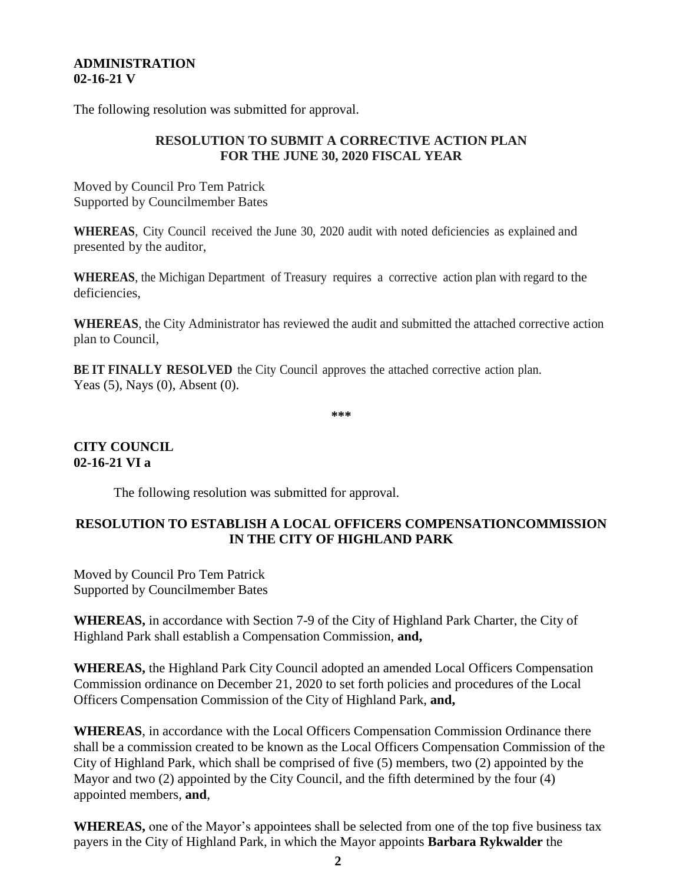### **ADMINISTRATION 02-16-21 V**

The following resolution was submitted for approval.

## **RESOLUTION TO SUBMIT A CORRECTIVE ACTION PLAN FOR THE JUNE 30, 2020 FISCAL YEAR**

Moved by Council Pro Tem Patrick Supported by Councilmember Bates

**WHEREAS**, City Council received the June 30, 2020 audit with noted deficiencies as explained and presented by the auditor,

**WHEREAS**, the Michigan Department of Treasury requires a corrective action plan with regard to the deficiencies,

**WHEREAS**, the City Administrator has reviewed the audit and submitted the attached corrective action plan to Council,

**BE IT FINALLY RESOLVED** the City Council approves the attached corrective action plan. Yeas (5), Nays (0), Absent (0).

**\*\*\***

# **CITY COUNCIL 02-16-21 VI a**

The following resolution was submitted for approval.

# **RESOLUTION TO ESTABLISH A LOCAL OFFICERS COMPENSATIONCOMMISSION IN THE CITY OF HIGHLAND PARK**

Moved by Council Pro Tem Patrick Supported by Councilmember Bates

**WHEREAS,** in accordance with Section 7-9 of the City of Highland Park Charter, the City of Highland Park shall establish a Compensation Commission, **and,**

**WHEREAS,** the Highland Park City Council adopted an amended Local Officers Compensation Commission ordinance on December 21, 2020 to set forth policies and procedures of the Local Officers Compensation Commission of the City of Highland Park, **and,**

**WHEREAS**, in accordance with the Local Officers Compensation Commission Ordinance there shall be a commission created to be known as the Local Officers Compensation Commission of the City of Highland Park, which shall be comprised of five (5) members, two (2) appointed by the Mayor and two (2) appointed by the City Council, and the fifth determined by the four (4) appointed members, **and**,

**WHEREAS,** one of the Mayor's appointees shall be selected from one of the top five business tax payers in the City of Highland Park, in which the Mayor appoints **Barbara Rykwalder** the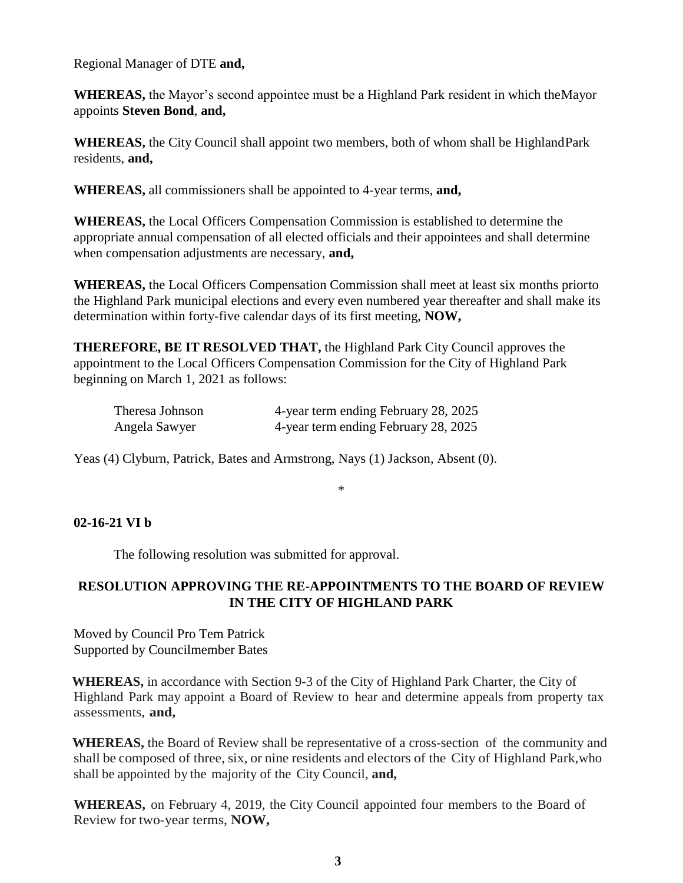Regional Manager of DTE **and,**

**WHEREAS,** the Mayor's second appointee must be a Highland Park resident in which theMayor appoints **Steven Bond**, **and,**

**WHEREAS,** the City Council shall appoint two members, both of whom shall be HighlandPark residents, **and,**

**WHEREAS,** all commissioners shall be appointed to 4-year terms, **and,**

**WHEREAS,** the Local Officers Compensation Commission is established to determine the appropriate annual compensation of all elected officials and their appointees and shall determine when compensation adjustments are necessary, **and,**

**WHEREAS,** the Local Officers Compensation Commission shall meet at least six months priorto the Highland Park municipal elections and every even numbered year thereafter and shall make its determination within forty-five calendar days of its first meeting, **NOW,**

**THEREFORE, BE IT RESOLVED THAT,** the Highland Park City Council approves the appointment to the Local Officers Compensation Commission for the City of Highland Park beginning on March 1, 2021 as follows:

| Theresa Johnson | 4-year term ending February 28, 2025 |  |
|-----------------|--------------------------------------|--|
| Angela Sawyer   | 4-year term ending February 28, 2025 |  |

Yeas (4) Clyburn, Patrick, Bates and Armstrong, Nays (1) Jackson, Absent (0).

\*

# **02-16-21 VI b**

The following resolution was submitted for approval.

### **RESOLUTION APPROVING THE RE-APPOINTMENTS TO THE BOARD OF REVIEW IN THE CITY OF HIGHLAND PARK**

Moved by Council Pro Tem Patrick Supported by Councilmember Bates

**WHEREAS,** in accordance with Section 9-3 of the City of Highland Park Charter, the City of Highland Park may appoint a Board of Review to hear and determine appeals from property tax assessments, **and,**

**WHEREAS,** the Board of Review shall be representative of a cross-section of the community and shall be composed of three, six, or nine residents and electors of the City of Highland Park,who shall be appointed by the majority of the City Council, **and,**

**WHEREAS,** on February 4, 2019, the City Council appointed four members to the Board of Review for two-year terms, **NOW,**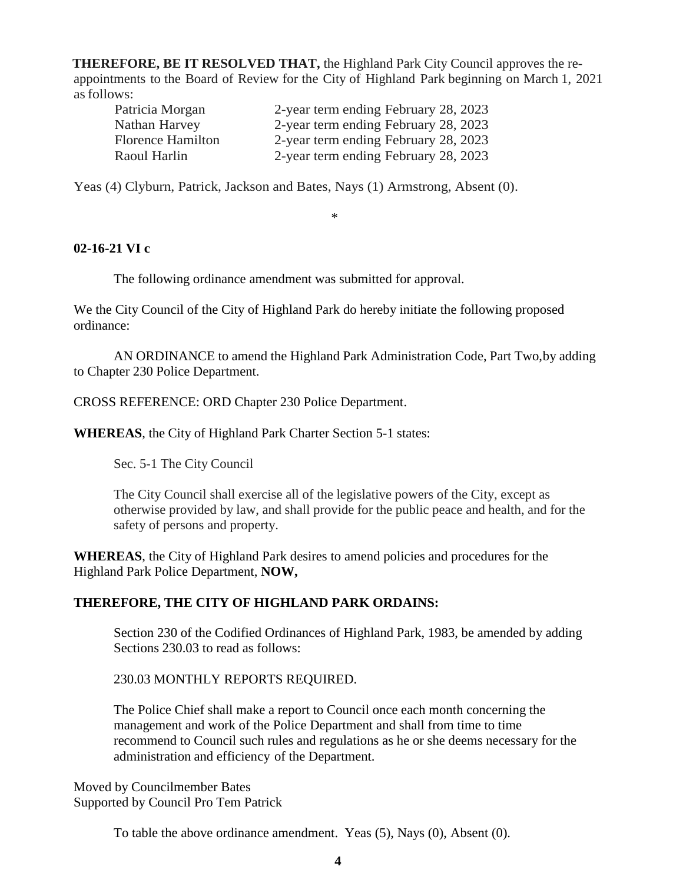**THEREFORE, BE IT RESOLVED THAT,** the Highland Park City Council approves the reappointments to the Board of Review for the City of Highland Park beginning on March 1, 2021 asfollows:

| Patricia Morgan          | 2-year term ending February 28, 2023 |
|--------------------------|--------------------------------------|
| Nathan Harvey            | 2-year term ending February 28, 2023 |
| <b>Florence Hamilton</b> | 2-year term ending February 28, 2023 |
| Raoul Harlin             | 2-year term ending February 28, 2023 |

Yeas (4) Clyburn, Patrick, Jackson and Bates, Nays (1) Armstrong, Absent (0).

\*

# **02-16-21 VI c**

The following ordinance amendment was submitted for approval.

We the City Council of the City of Highland Park do hereby initiate the following proposed ordinance:

AN ORDINANCE to amend the Highland Park Administration Code, Part Two,by adding to Chapter 230 Police Department.

CROSS REFERENCE: ORD Chapter 230 Police Department.

**WHEREAS**, the City of Highland Park Charter Section 5-1 states:

Sec. 5-1 The City Council

The City Council shall exercise all of the legislative powers of the City, except as otherwise provided by law, and shall provide for the public peace and health, and for the safety of persons and property.

**WHEREAS**, the City of Highland Park desires to amend policies and procedures for the Highland Park Police Department, **NOW,**

# **THEREFORE, THE CITY OF HIGHLAND PARK ORDAINS:**

Section 230 of the Codified Ordinances of Highland Park, 1983, be amended by adding Sections 230.03 to read as follows:

# 230.03 MONTHLY REPORTS REQUIRED.

The Police Chief shall make a report to Council once each month concerning the management and work of the Police Department and shall from time to time recommend to Council such rules and regulations as he or she deems necessary for the administration and efficiency of the Department.

Moved by Councilmember Bates Supported by Council Pro Tem Patrick

To table the above ordinance amendment. Yeas (5), Nays (0), Absent (0).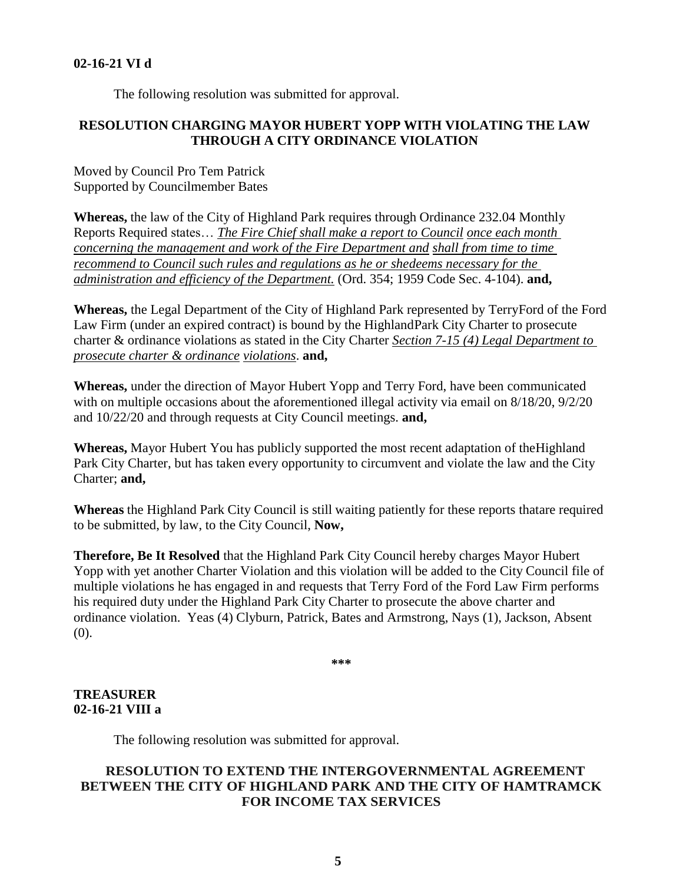#### **02-16-21 VI d**

The following resolution was submitted for approval.

### **RESOLUTION CHARGING MAYOR HUBERT YOPP WITH VIOLATING THE LAW THROUGH A CITY ORDINANCE VIOLATION**

Moved by Council Pro Tem Patrick Supported by Councilmember Bates

**Whereas,** the law of the City of Highland Park requires through Ordinance 232.04 Monthly Reports Required states… *The Fire Chief shall make a report to Council once each month concerning the management and work of the Fire Department and shall from time to time recommend to Council such rules and regulations as he or shedeems necessary for the administration and efficiency of the Department.* (Ord. 354; 1959 Code Sec. 4-104). **and,**

**Whereas,** the Legal Department of the City of Highland Park represented by TerryFord of the Ford Law Firm (under an expired contract) is bound by the HighlandPark City Charter to prosecute charter & ordinance violations as stated in the City Charter *Section 7-15 (4) Legal Department to prosecute charter & ordinance violations*. **and,**

**Whereas,** under the direction of Mayor Hubert Yopp and Terry Ford, have been communicated with on multiple occasions about the aforementioned illegal activity via email on  $8/18/20$ ,  $9/2/20$ and 10/22/20 and through requests at City Council meetings. **and,**

**Whereas,** Mayor Hubert You has publicly supported the most recent adaptation of theHighland Park City Charter, but has taken every opportunity to circumvent and violate the law and the City Charter; **and,**

**Whereas** the Highland Park City Council is still waiting patiently for these reports thatare required to be submitted, by law, to the City Council, **Now,**

**Therefore, Be It Resolved** that the Highland Park City Council hereby charges Mayor Hubert Yopp with yet another Charter Violation and this violation will be added to the City Council file of multiple violations he has engaged in and requests that Terry Ford of the Ford Law Firm performs his required duty under the Highland Park City Charter to prosecute the above charter and ordinance violation. Yeas (4) Clyburn, Patrick, Bates and Armstrong, Nays (1), Jackson, Absent (0).

**\*\*\***

### **TREASURER 02-16-21 VIII a**

The following resolution was submitted for approval.

# **RESOLUTION TO EXTEND THE INTERGOVERNMENTAL AGREEMENT BETWEEN THE CITY OF HIGHLAND PARK AND THE CITY OF HAMTRAMCK FOR INCOME TAX SERVICES**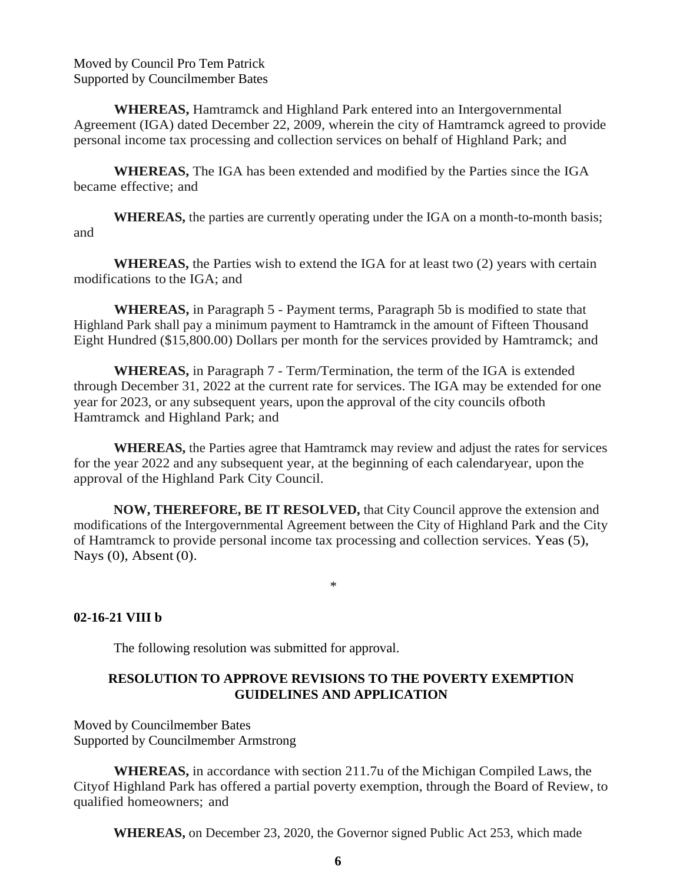Moved by Council Pro Tem Patrick Supported by Councilmember Bates

**WHEREAS,** Hamtramck and Highland Park entered into an Intergovernmental Agreement (IGA) dated December 22, 2009, wherein the city of Hamtramck agreed to provide personal income tax processing and collection services on behalf of Highland Park; and

**WHEREAS,** The IGA has been extended and modified by the Parties since the IGA became effective; and

**WHEREAS,** the parties are currently operating under the IGA on a month-to-month basis; and

**WHEREAS,** the Parties wish to extend the IGA for at least two (2) years with certain modifications to the IGA; and

**WHEREAS,** in Paragraph 5 - Payment terms, Paragraph 5b is modified to state that Highland Park shall pay a minimum payment to Hamtramck in the amount of Fifteen Thousand Eight Hundred (\$15,800.00) Dollars per month for the services provided by Hamtramck; and

**WHEREAS,** in Paragraph 7 - Term/Termination, the term of the IGA is extended through December 31, 2022 at the current rate for services. The IGA may be extended for one year for 2023, or any subsequent years, upon the approval of the city councils ofboth Hamtramck and Highland Park; and

**WHEREAS,** the Parties agree that Hamtramck may review and adjust the rates for services for the year 2022 and any subsequent year, at the beginning of each calendaryear, upon the approval of the Highland Park City Council.

**NOW, THEREFORE, BE IT RESOLVED,** that City Council approve the extension and modifications of the Intergovernmental Agreement between the City of Highland Park and the City of Hamtramck to provide personal income tax processing and collection services. Yeas (5), Nays (0), Absent (0).

\*

#### **02-16-21 VIII b**

The following resolution was submitted for approval.

# **RESOLUTION TO APPROVE REVISIONS TO THE POVERTY EXEMPTION GUIDELINES AND APPLICATION**

Moved by Councilmember Bates Supported by Councilmember Armstrong

**WHEREAS,** in accordance with section 211.7u of the Michigan Compiled Laws, the Cityof Highland Park has offered a partial poverty exemption, through the Board of Review, to qualified homeowners; and

**WHEREAS,** on December 23, 2020, the Governor signed Public Act 253, which made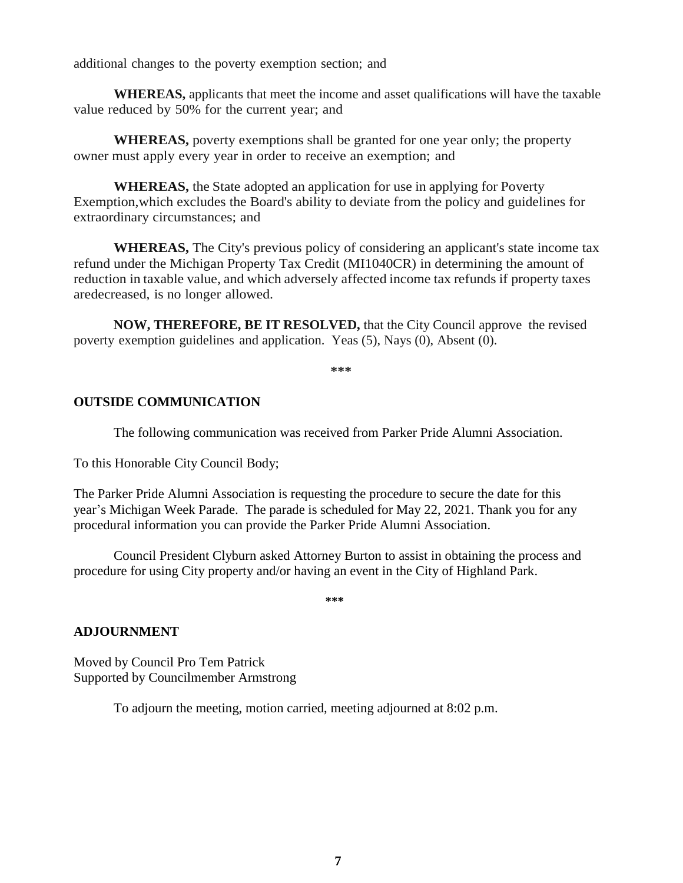additional changes to the poverty exemption section; and

**WHEREAS,** applicants that meet the income and asset qualifications will have the taxable value reduced by 50% for the current year; and

**WHEREAS,** poverty exemptions shall be granted for one year only; the property owner must apply every year in order to receive an exemption; and

**WHEREAS,** the State adopted an application for use in applying for Poverty Exemption,which excludes the Board's ability to deviate from the policy and guidelines for extraordinary circumstances; and

**WHEREAS,** The City's previous policy of considering an applicant's state income tax refund under the Michigan Property Tax Credit (MI1040CR) in determining the amount of reduction in taxable value, and which adversely affected income tax refunds if property taxes aredecreased, is no longer allowed.

**NOW, THEREFORE, BE IT RESOLVED,** that the City Council approve the revised poverty exemption guidelines and application. Yeas (5), Nays (0), Absent (0).

**\*\*\***

### **OUTSIDE COMMUNICATION**

The following communication was received from Parker Pride Alumni Association.

To this Honorable City Council Body;

The Parker Pride Alumni Association is requesting the procedure to secure the date for this year's Michigan Week Parade. The parade is scheduled for May 22, 2021. Thank you for any procedural information you can provide the Parker Pride Alumni Association.

Council President Clyburn asked Attorney Burton to assist in obtaining the process and procedure for using City property and/or having an event in the City of Highland Park.

**\*\*\***

#### **ADJOURNMENT**

Moved by Council Pro Tem Patrick Supported by Councilmember Armstrong

To adjourn the meeting, motion carried, meeting adjourned at 8:02 p.m.